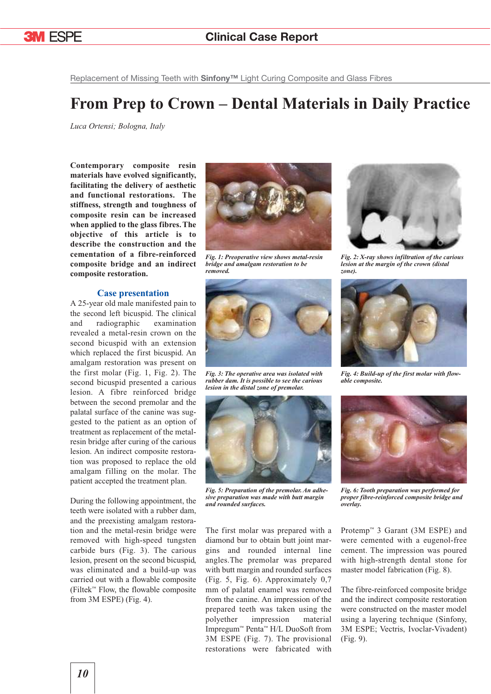

Replacement of Missing Teeth with **Sinfony™** Light Curing Composite and Glass Fibres

## **From Prep to Crown – Dental Materials in Daily Practice**

*Luca Ortensi; Bologna, Italy*

**Contemporary composite resin materials have evolved significantly, facilitating the delivery of aesthetic and functional restorations. The stiffness, strength and toughness of composite resin can be increased when applied to the glass fibres. The objective of this article is to describe the construction and the cementation of a fibre-reinforced composite bridge and an indirect composite restoration.**

## **Case presentation**

A 25-year old male manifested pain to the second left bicuspid. The clinical and radiographic examination revealed a metal-resin crown on the second bicuspid with an extension which replaced the first bicuspid. An amalgam restoration was present on the first molar (Fig. 1, Fig. 2). The second bicuspid presented a carious lesion. A fibre reinforced bridge between the second premolar and the palatal surface of the canine was suggested to the patient as an option of treatment as replacement of the metalresin bridge after curing of the carious lesion. An indirect composite restoration was proposed to replace the old amalgam filling on the molar. The patient accepted the treatment plan.

During the following appointment, the teeth were isolated with a rubber dam, and the preexisting amalgam restoration and the metal-resin bridge were removed with high-speed tungsten carbide burs (Fig. 3). The carious lesion, present on the second bicuspid, was eliminated and a build-up was carried out with a flowable composite (Filtek™ Flow, the flowable composite from 3M ESPE) (Fig. 4).



*Fig. 1: Preoperative view shows metal-resin bridge and amalgam restoration to be removed.*



*Fig. 3: The operative area was isolated with rubber dam. It is possible to see the carious lesion in the distal zone of premolar.*



*Fig. 5: Preparation of the premolar. An adhesive preparation was made with butt margin and rounded surfaces.*

The first molar was prepared with a diamond bur to obtain butt joint margins and rounded internal line angles.The premolar was prepared with butt margin and rounded surfaces (Fig. 5, Fig. 6). Approximately 0,7 mm of palatal enamel was removed from the canine. An impression of the prepared teeth was taken using the polyether impression material Impregum™ Penta™ H/L DuoSoft from 3M ESPE (Fig. 7). The provisional restorations were fabricated with



*Fig. 2: X-ray shows infiltration of the carious lesion at the margin of the crown (distal zone).*



*Fig. 4: Build-up of the first molar with flowable composite.*



*Fig. 6: Tooth preparation was performed for proper fibre-reinforced composite bridge and overlay.*

Protemp™ 3 Garant (3M ESPE) and were cemented with a eugenol-free cement. The impression was poured with high-strength dental stone for master model fabrication (Fig. 8).

The fibre-reinforced composite bridge and the indirect composite restoration were constructed on the master model using a layering technique (Sinfony, 3M ESPE; Vectris, Ivoclar-Vivadent) (Fig. 9).